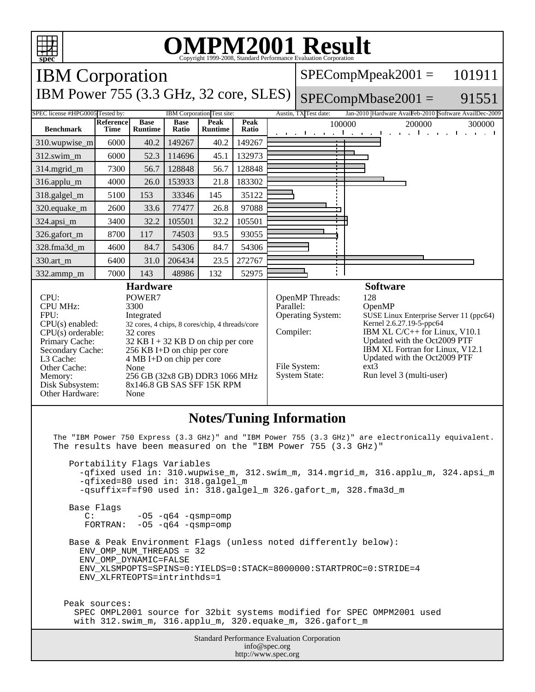| <b>OMPM2001 Result</b><br>Copyright 1999-2008, Standard Performance Evaluation Corporation<br>spec                                                                                                                                                                                                                                                                                                                                                                                                                                                                                                   |                          |                               |                      |                                                      |               |                                                                                                                                                                                                                                                                                                                                                                           |                                                                                                              |
|------------------------------------------------------------------------------------------------------------------------------------------------------------------------------------------------------------------------------------------------------------------------------------------------------------------------------------------------------------------------------------------------------------------------------------------------------------------------------------------------------------------------------------------------------------------------------------------------------|--------------------------|-------------------------------|----------------------|------------------------------------------------------|---------------|---------------------------------------------------------------------------------------------------------------------------------------------------------------------------------------------------------------------------------------------------------------------------------------------------------------------------------------------------------------------------|--------------------------------------------------------------------------------------------------------------|
| <b>IBM</b> Corporation                                                                                                                                                                                                                                                                                                                                                                                                                                                                                                                                                                               |                          |                               |                      |                                                      |               |                                                                                                                                                                                                                                                                                                                                                                           | 101911<br>$SPECompMpeak2001 =$                                                                               |
| IBM Power 755 (3.3 GHz, 32 core, SLES)                                                                                                                                                                                                                                                                                                                                                                                                                                                                                                                                                               |                          |                               |                      |                                                      |               |                                                                                                                                                                                                                                                                                                                                                                           | $SPECompMbase2001 =$<br>91551                                                                                |
| SPEC license #HPG0005 Tested by:<br><b>Benchmark</b>                                                                                                                                                                                                                                                                                                                                                                                                                                                                                                                                                 | <b>Reference</b><br>Time | <b>Base</b><br><b>Runtime</b> | <b>Base</b><br>Ratio | IBM Corporation Test site:<br>Peak<br><b>Runtime</b> | Peak<br>Ratio |                                                                                                                                                                                                                                                                                                                                                                           | Jan-2010 Hardware AvaiFeb-2010 Software AvailDec-2009<br>Austin, TX Test date:<br>100000<br>200000<br>300000 |
| 310.wupwise_m                                                                                                                                                                                                                                                                                                                                                                                                                                                                                                                                                                                        | 6000                     | 40.2                          | 149267               | 40.2                                                 | 149267        |                                                                                                                                                                                                                                                                                                                                                                           | the control of the control of<br>$1 - 1 - 1$<br>$\mathbf{r}$<br>$\sim$<br>and a state                        |
| 312.swim_m                                                                                                                                                                                                                                                                                                                                                                                                                                                                                                                                                                                           | 6000                     | 52.3                          | 114696               | 45.1                                                 | 132973        |                                                                                                                                                                                                                                                                                                                                                                           |                                                                                                              |
| 314.mgrid_m                                                                                                                                                                                                                                                                                                                                                                                                                                                                                                                                                                                          | 7300                     | 56.7                          | 128848               | 56.7                                                 | 128848        |                                                                                                                                                                                                                                                                                                                                                                           |                                                                                                              |
| 316.applu_m                                                                                                                                                                                                                                                                                                                                                                                                                                                                                                                                                                                          | 4000                     | 26.0                          | 153933               | 21.8                                                 | 183302        |                                                                                                                                                                                                                                                                                                                                                                           |                                                                                                              |
| 318.galgel_m                                                                                                                                                                                                                                                                                                                                                                                                                                                                                                                                                                                         | 5100                     | 153                           | 33346                | 145                                                  | 35122         |                                                                                                                                                                                                                                                                                                                                                                           |                                                                                                              |
| 320.equake m                                                                                                                                                                                                                                                                                                                                                                                                                                                                                                                                                                                         | 2600                     | 33.6                          | 77477                | 26.8                                                 | 97088         |                                                                                                                                                                                                                                                                                                                                                                           |                                                                                                              |
| 324.apsi_m                                                                                                                                                                                                                                                                                                                                                                                                                                                                                                                                                                                           | 3400                     | 32.2                          | 105501               | 32.2                                                 | 105501        |                                                                                                                                                                                                                                                                                                                                                                           |                                                                                                              |
| 326.gafort_m                                                                                                                                                                                                                                                                                                                                                                                                                                                                                                                                                                                         | 8700                     | 117                           | 74503                | 93.5                                                 | 93055         |                                                                                                                                                                                                                                                                                                                                                                           |                                                                                                              |
| 328.fma3d_m                                                                                                                                                                                                                                                                                                                                                                                                                                                                                                                                                                                          | 4600                     | 84.7                          | 54306                | 84.7                                                 | 54306         |                                                                                                                                                                                                                                                                                                                                                                           |                                                                                                              |
| 330.art_m                                                                                                                                                                                                                                                                                                                                                                                                                                                                                                                                                                                            | 6400                     | 31.0                          | 206434               | 23.5                                                 | 272767        |                                                                                                                                                                                                                                                                                                                                                                           |                                                                                                              |
| 332.ammp_m                                                                                                                                                                                                                                                                                                                                                                                                                                                                                                                                                                                           | 7000                     | 143                           | 48986                | 132                                                  | 52975         |                                                                                                                                                                                                                                                                                                                                                                           |                                                                                                              |
| <b>Hardware</b><br>POWER7<br>CPU:<br><b>CPU MHz:</b><br>3300<br>FPU:<br>Integrated<br>$CPU(s)$ enabled:<br>32 cores, 4 chips, 8 cores/chip, 4 threads/core<br>$CPU(s)$ orderable:<br>32 cores<br>Primary Cache:<br>$32$ KB I + 32 KB D on chip per core<br>Secondary Cache:<br>256 KB I+D on chip per core<br>L3 Cache:<br>4 MB I+D on chip per core<br>Other Cache:<br>None<br>256 GB (32x8 GB) DDR3 1066 MHz<br>Memory:<br>8x146.8 GB SAS SFF 15K RPM<br>Disk Subsystem:<br>Other Hardware:<br>None                                                                                                |                          |                               |                      |                                                      | Parallel:     | <b>Software</b><br>OpenMP Threads:<br>128<br>OpenMP<br>Operating System:<br>SUSE Linux Enterprise Server 11 (ppc64)<br>Kernel 2.6.27.19-5-ppc64<br>Compiler:<br>IBM XL C/C++ for Linux, V10.1<br>Updated with the Oct2009 PTF<br>IBM XL Fortran for Linux, V12.1<br>Updated with the Oct2009 PTF<br>File System:<br>$ext{3}$<br>System State:<br>Run level 3 (multi-user) |                                                                                                              |
| <b>Notes/Tuning Information</b><br>The "IBM Power 750 Express (3.3 GHz)" and "IBM Power 755 (3.3 GHz)" are electronically equivalent.<br>The results have been measured on the "IBM Power 755 (3.3 GHz)"<br>Portability Flags Variables<br>-qfixed used in: 310.wupwise_m, 312.swim_m, 314.mgrid_m, 316.applu_m, 324.apsi_m<br>-qfixed=80 used in: 318.galgel_m<br>-qsuffix=f=f90 used in: 318.galgel_m 326.gafort_m, 328.fma3d_m<br>Base Flags<br>$-05 - q64 - qsmp = comp$<br>$\mathsf{C}$ :<br>FORTRAN: $-05 - q64 - qsmp=omp$<br>Base & Peak Environment Flags (unless noted differently below): |                          |                               |                      |                                                      |               |                                                                                                                                                                                                                                                                                                                                                                           |                                                                                                              |
| ENV OMP NUM THREADS = 32<br>EMIL OMD DVNLMIC-ELICE                                                                                                                                                                                                                                                                                                                                                                                                                                                                                                                                                   |                          |                               |                      |                                                      |               |                                                                                                                                                                                                                                                                                                                                                                           |                                                                                                              |

 ENV\_OMP\_DYNAMIC=FALSE ENV\_XLSMPOPTS=SPINS=0:YIELDS=0:STACK=8000000:STARTPROC=0:STRIDE=4 ENV\_XLFRTEOPTS=intrinthds=1

 Peak sources: SPEC OMPL2001 source for 32bit systems modified for SPEC OMPM2001 used with 312.swim\_m, 316.applu\_m, 320.equake\_m, 326.gafort\_m

> Standard Performance Evaluation Corporation info@spec.org http://www.spec.org